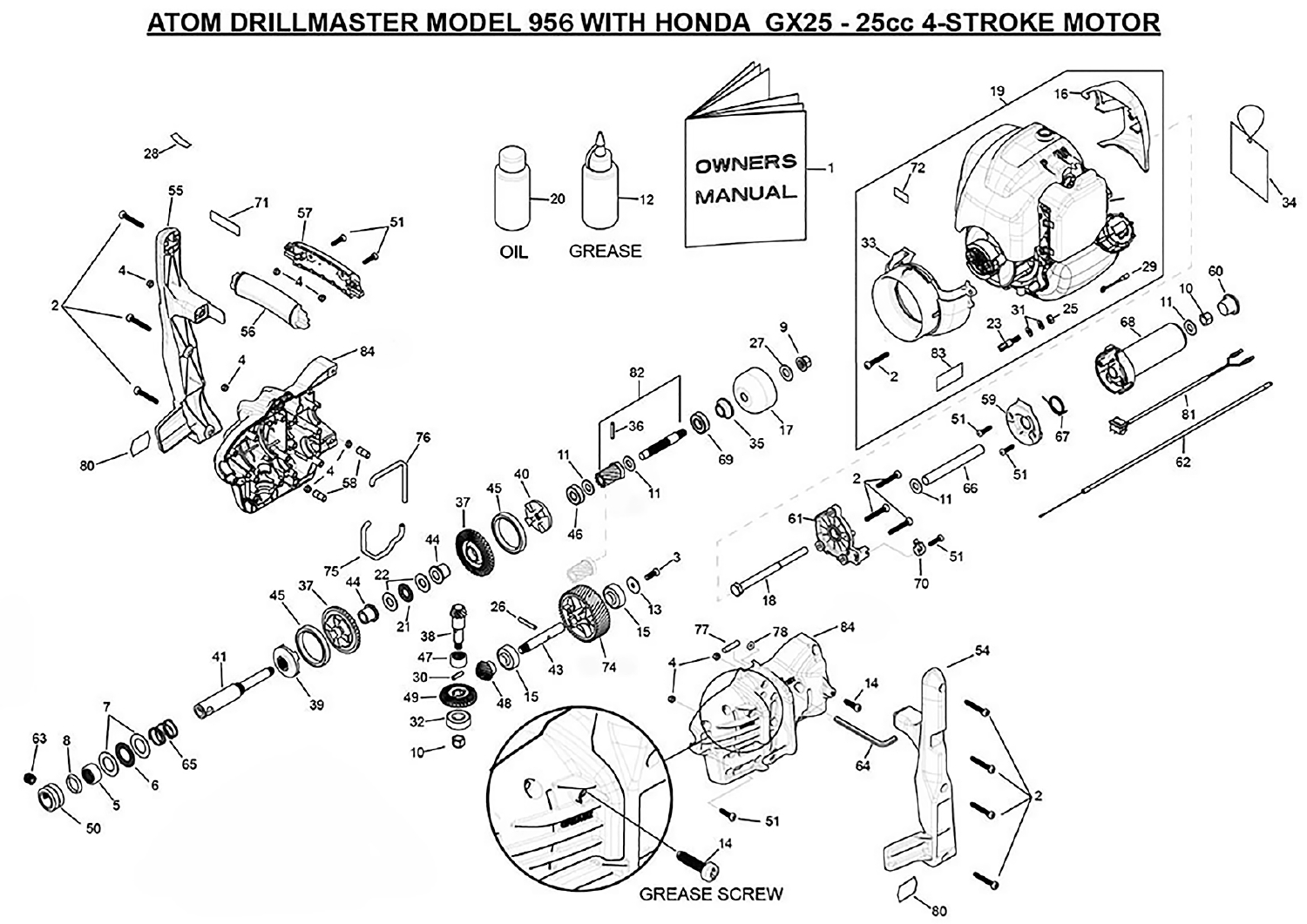## ATOM DRILLMASTER MODEL 956 WITH HONDA GX25 - 25cc 4-STROKE MOTOR